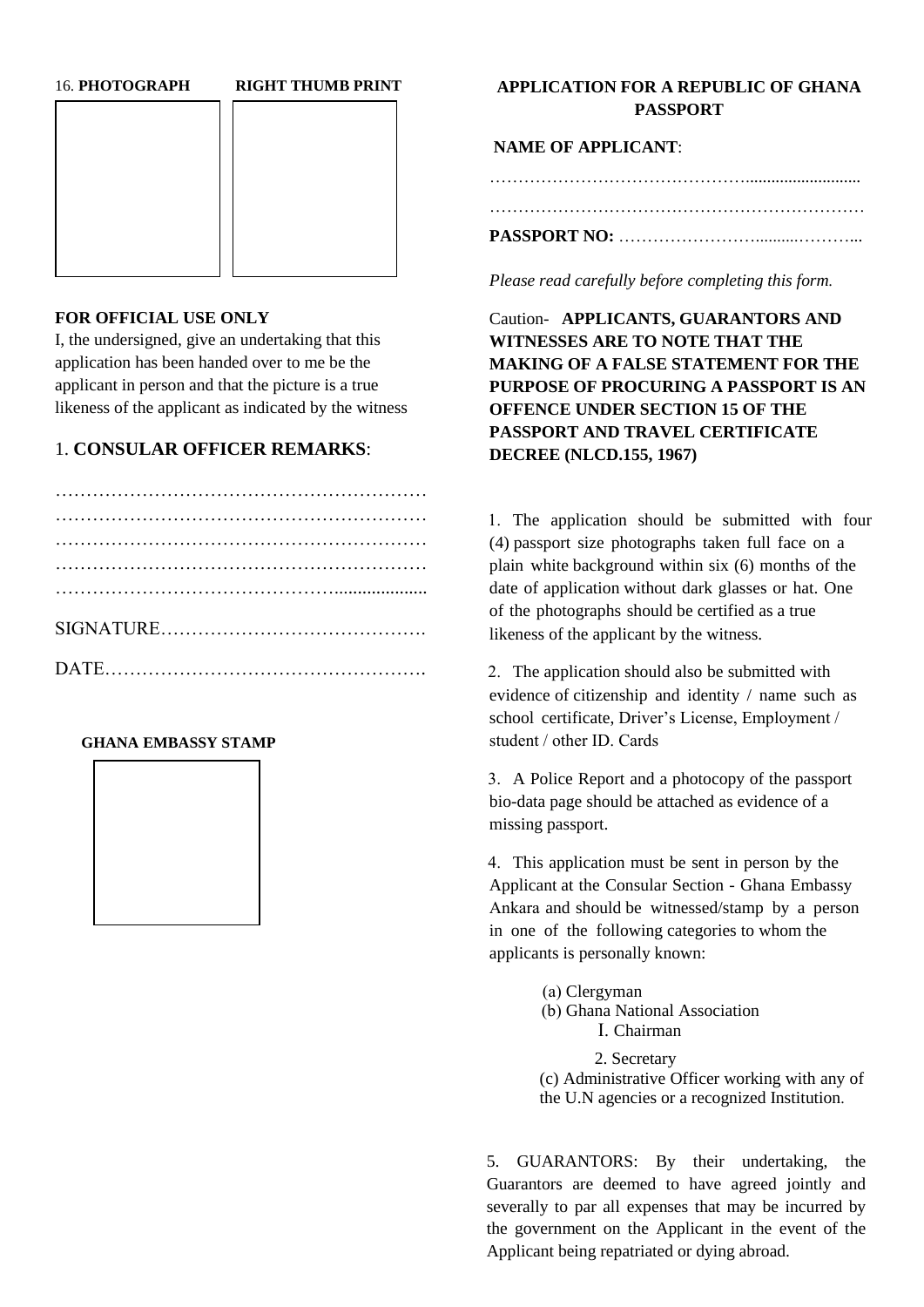#### 16. **PHOTOGRAPH RIGHT THUMB PRINT**



### **FOR OFFICIAL USE ONLY**

I, the undersigned, give an undertaking that this application has been handed over to me be the applicant in person and that the picture is a true likeness of the applicant as indicated by the witness

## 1. **CONSULAR OFFICER REMARKS**:

### **GHANA EMBASSY STAMP**



## **APPLICATION FOR A REPUBLIC OF GHANA PASSPORT**

**NAME OF APPLICANT**:

………………………………………........................... ………………………………………………………… **PASSPORT NO:** ……………………..........………...

*Please read carefully before completing this form.* 

Caution- **APPLICANTS, GUARANTORS AND WITNESSES ARE TO NOTE THAT THE MAKING OF A FALSE STATEMENT FOR THE PURPOSE OF PROCURING A PASSPORT IS AN OFFENCE UNDER SECTION 15 OF THE PASSPORT AND TRAVEL CERTIFICATE DECREE (NLCD.155, 1967)**

1. The application should be submitted with four (4) passport size photographs taken full face on a plain white background within six (6) months of the date of application without dark glasses or hat. One of the photographs should be certified as a true likeness of the applicant by the witness.

2. The application should also be submitted with evidence of citizenship and identity / name such as school certificate, Driver's License, Employment / student / other ID. Cards

3. A Police Report and a photocopy of the passport bio-data page should be attached as evidence of a missing passport.

4. This application must be sent in person by the Applicant at the Consular Section - Ghana Embassy Ankara and should be witnessed/stamp by a person in one of the following categories to whom the applicants is personally known:

(a) Clergyman

(b) Ghana National Association

I. Chairman

2. Secretary (c) Administrative Officer working with any of the U.N agencies or a recognized Institution.

5. GUARANTORS: By their undertaking, the Guarantors are deemed to have agreed jointly and severally to par all expenses that may be incurred by the government on the Applicant in the event of the Applicant being repatriated or dying abroad.